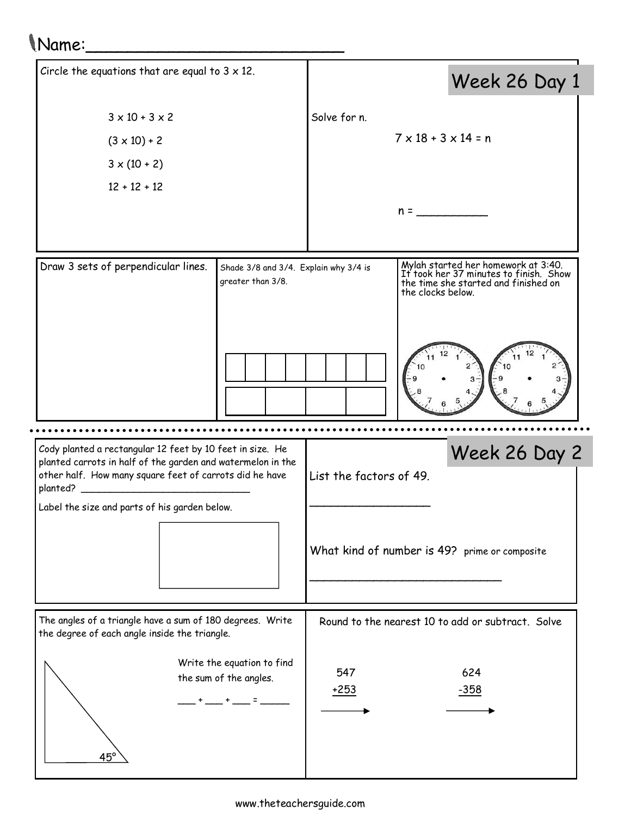## Name:\_\_\_\_\_\_\_\_\_\_\_\_\_\_\_\_\_\_\_\_\_\_\_\_\_

| Circle the equations that are equal to $3 \times 12$ .                                                                                                                                            |  |                         | Week 26 Day 1                                                                                                                              |
|---------------------------------------------------------------------------------------------------------------------------------------------------------------------------------------------------|--|-------------------------|--------------------------------------------------------------------------------------------------------------------------------------------|
| $3 \times 10 + 3 \times 2$                                                                                                                                                                        |  | Solve for n.            |                                                                                                                                            |
| $(3 \times 10) + 2$                                                                                                                                                                               |  |                         | $7 \times 18 + 3 \times 14 = n$                                                                                                            |
| $3 \times (10 + 2)$                                                                                                                                                                               |  |                         |                                                                                                                                            |
| $12 + 12 + 12$                                                                                                                                                                                    |  |                         |                                                                                                                                            |
|                                                                                                                                                                                                   |  |                         | $n =$                                                                                                                                      |
|                                                                                                                                                                                                   |  |                         |                                                                                                                                            |
| Draw 3 sets of perpendicular lines.<br>Shade 3/8 and 3/4. Explain why 3/4 is<br>greater than 3/8.                                                                                                 |  |                         | Mylah started her homework at 3:40.<br>It took her 37 minutes to finish. Show<br>the time she started and finished on<br>the clocks below. |
|                                                                                                                                                                                                   |  |                         |                                                                                                                                            |
|                                                                                                                                                                                                   |  |                         |                                                                                                                                            |
| Cody planted a rectangular 12 feet by 10 feet in size. He<br>planted carrots in half of the garden and watermelon in the<br>other half. How many square feet of carrots did he have<br>planted? _ |  | List the factors of 49. | Week 26 Day 2                                                                                                                              |
| Label the size and parts of his garden below.                                                                                                                                                     |  |                         |                                                                                                                                            |
|                                                                                                                                                                                                   |  |                         | What kind of number is 49? prime or composite                                                                                              |
| The angles of a triangle have a sum of 180 degrees. Write<br>the degree of each angle inside the triangle.                                                                                        |  |                         | Round to the nearest 10 to add or subtract. Solve                                                                                          |
| Write the equation to find<br>the sum of the angles.<br>$45^{\circ}$                                                                                                                              |  | 547<br>$+253$           | 624<br>$-358$                                                                                                                              |
|                                                                                                                                                                                                   |  |                         |                                                                                                                                            |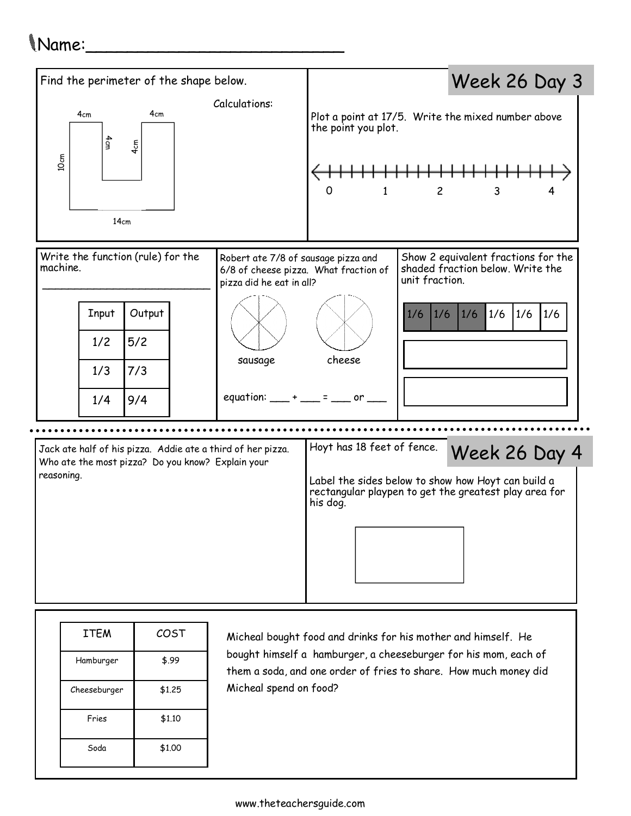## Name:\_\_\_\_\_\_\_\_\_\_\_\_\_\_\_\_\_\_\_\_\_\_\_\_\_



Micheal spend on food?

them a soda, and one order of fries to share. How much money did

Cheeseburger \$1.25

Fries **\$1.10** 

Soda **\$1.00**